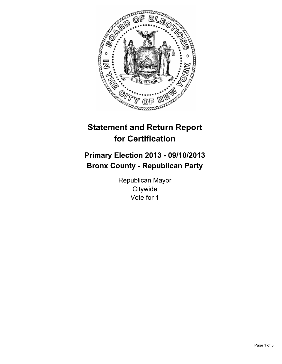

# **Statement and Return Report for Certification**

## **Primary Election 2013 - 09/10/2013 Bronx County - Republican Party**

Republican Mayor **Citywide** Vote for 1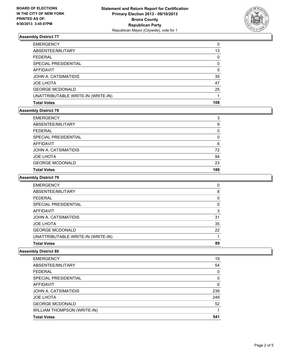

### **Assembly District 77**

| <b>Total Votes</b>                 | 108 |
|------------------------------------|-----|
| UNATTRIBUTABLE WRITE-IN (WRITE-IN) |     |
| <b>GEORGE MCDONALD</b>             | 25  |
| <b>JOE LHOTA</b>                   | 47  |
| JOHN A. CATSIMATIDIS               | 35  |
| AFFIDAVIT                          | 5   |
| SPECIAL PRESIDENTIAL               | 0   |
| <b>FEDERAL</b>                     | 0   |
| ABSENTEE/MILITARY                  | 13  |
| <b>EMERGENCY</b>                   | 0   |

## **Assembly District 78**

| <b>Total Votes</b>     | 189      |
|------------------------|----------|
| <b>GEORGE MCDONALD</b> | 23       |
| <b>JOE LHOTA</b>       | 94       |
| JOHN A. CATSIMATIDIS   | 72       |
| AFFIDAVIT              | 6        |
| SPECIAL PRESIDENTIAL   | 0        |
| <b>FEDERAL</b>         | $\Omega$ |
| ABSENTEE/MILITARY      | 9        |
| <b>EMERGENCY</b>       | 3        |

#### **Assembly District 79**

| <b>Total Votes</b>                 | 89       |
|------------------------------------|----------|
| UNATTRIBUTABLE WRITE-IN (WRITE-IN) |          |
| <b>GEORGE MCDONALD</b>             | 22       |
| <b>JOE LHOTA</b>                   | 35       |
| JOHN A. CATSIMATIDIS               | 31       |
| AFFIDAVIT                          | 3        |
| SPECIAL PRESIDENTIAL               | $\Omega$ |
| FEDERAL                            | 0        |
| ABSENTEE/MILITARY                  | 8        |
| <b>EMERGENCY</b>                   | 0        |

#### **Assembly District 80**

| <b>EMERGENCY</b>                   | 19       |
|------------------------------------|----------|
| ABSENTEE/MILITARY                  | 54       |
| <b>FEDERAL</b>                     | 0        |
| <b>SPECIAL PRESIDENTIAL</b>        | $\Omega$ |
| AFFIDAVIT                          | 6        |
| JOHN A. CATSIMATIDIS               | 239      |
| <b>JOE LHOTA</b>                   | 249      |
| <b>GEORGE MCDONALD</b>             | 52       |
| <b>WILLIAM THOMPSON (WRITE-IN)</b> |          |
| <b>Total Votes</b>                 | 541      |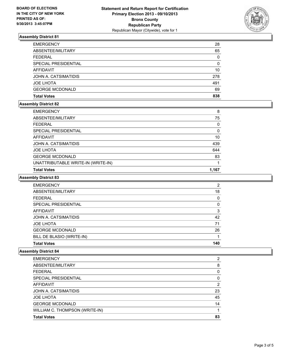

## **Assembly District 81**

| <b>EMERGENCY</b>       | 28       |
|------------------------|----------|
| ABSENTEE/MILITARY      | 65       |
| <b>FEDERAL</b>         | 0        |
| SPECIAL PRESIDENTIAL   | $\Omega$ |
| AFFIDAVIT              | 10       |
| JOHN A. CATSIMATIDIS   | 278      |
| <b>JOE LHOTA</b>       | 491      |
| <b>GEORGE MCDONALD</b> | 69       |
| <b>Total Votes</b>     | 838      |

#### **Assembly District 82**

| <b>EMERGENCY</b>                   | 8     |
|------------------------------------|-------|
| ABSENTEE/MILITARY                  | 75    |
| <b>FEDERAL</b>                     | 0     |
| SPECIAL PRESIDENTIAL               | 0     |
| AFFIDAVIT                          | 10    |
| JOHN A. CATSIMATIDIS               | 439   |
| <b>JOE LHOTA</b>                   | 644   |
| <b>GEORGE MCDONALD</b>             | 83    |
| UNATTRIBUTABLE WRITE-IN (WRITE-IN) |       |
| <b>Total Votes</b>                 | 1.167 |

#### **Assembly District 83**

| <b>EMERGENCY</b>          | 2        |
|---------------------------|----------|
| ABSENTEE/MILITARY         | 18       |
| <b>FEDERAL</b>            | $\Omega$ |
| SPECIAL PRESIDENTIAL      | $\Omega$ |
| <b>AFFIDAVIT</b>          | 3        |
| JOHN A. CATSIMATIDIS      | 42       |
| <b>JOE LHOTA</b>          | 71       |
| <b>GEORGE MCDONALD</b>    | 26       |
| BILL DE BLASIO (WRITE-IN) |          |
| <b>Total Votes</b>        | 140      |

#### **Assembly District 84**

| <b>EMERGENCY</b>               | 2  |
|--------------------------------|----|
| ABSENTEE/MILITARY              | 8  |
| <b>FEDERAL</b>                 | 0  |
| SPECIAL PRESIDENTIAL           | 0  |
| AFFIDAVIT                      | 2  |
| JOHN A. CATSIMATIDIS           | 23 |
| <b>JOE LHOTA</b>               | 45 |
| <b>GEORGE MCDONALD</b>         | 14 |
| WILLIAM C. THOMPSON (WRITE-IN) |    |
| <b>Total Votes</b>             | 83 |
|                                |    |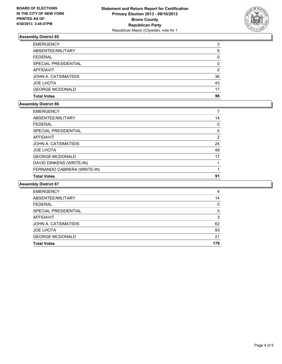

## **Assembly District 85**

| <b>EMERGENCY</b>       | 3  |
|------------------------|----|
| ABSENTEE/MILITARY      | 9  |
| <b>FEDERAL</b>         | 0  |
| SPECIAL PRESIDENTIAL   | 0  |
| AFFIDAVIT              | 0  |
| JOHN A. CATSIMATIDIS   | 36 |
| <b>JOE LHOTA</b>       | 43 |
| <b>GEORGE MCDONALD</b> | 17 |
| <b>Total Votes</b>     | 96 |

#### **Assembly District 86**

| <b>EMERGENCY</b>            |          |
|-----------------------------|----------|
| ABSENTEE/MILITARY           | 14       |
| <b>FEDERAL</b>              | $\Omega$ |
| SPECIAL PRESIDENTIAL        | $\Omega$ |
| <b>AFFIDAVIT</b>            | 2        |
| JOHN A. CATSIMATIDIS        | 24       |
| <b>JOE LHOTA</b>            | 48       |
| <b>GEORGE MCDONALD</b>      | 17       |
| DAVID DINKENS (WRITE-IN)    |          |
| FERNANDO CABRERA (WRITE-IN) |          |
| <b>Total Votes</b>          | 91       |

#### **Assembly District 87**

| <b>EMERGENCY</b>       | 4   |
|------------------------|-----|
| ABSENTEE/MILITARY      | 14  |
| <b>FEDERAL</b>         | 0   |
| SPECIAL PRESIDENTIAL   | 0   |
| AFFIDAVIT              | 3   |
| JOHN A. CATSIMATIDIS   | 62  |
| <b>JOE LHOTA</b>       | 93  |
| <b>GEORGE MCDONALD</b> | 21  |
| <b>Total Votes</b>     | 176 |